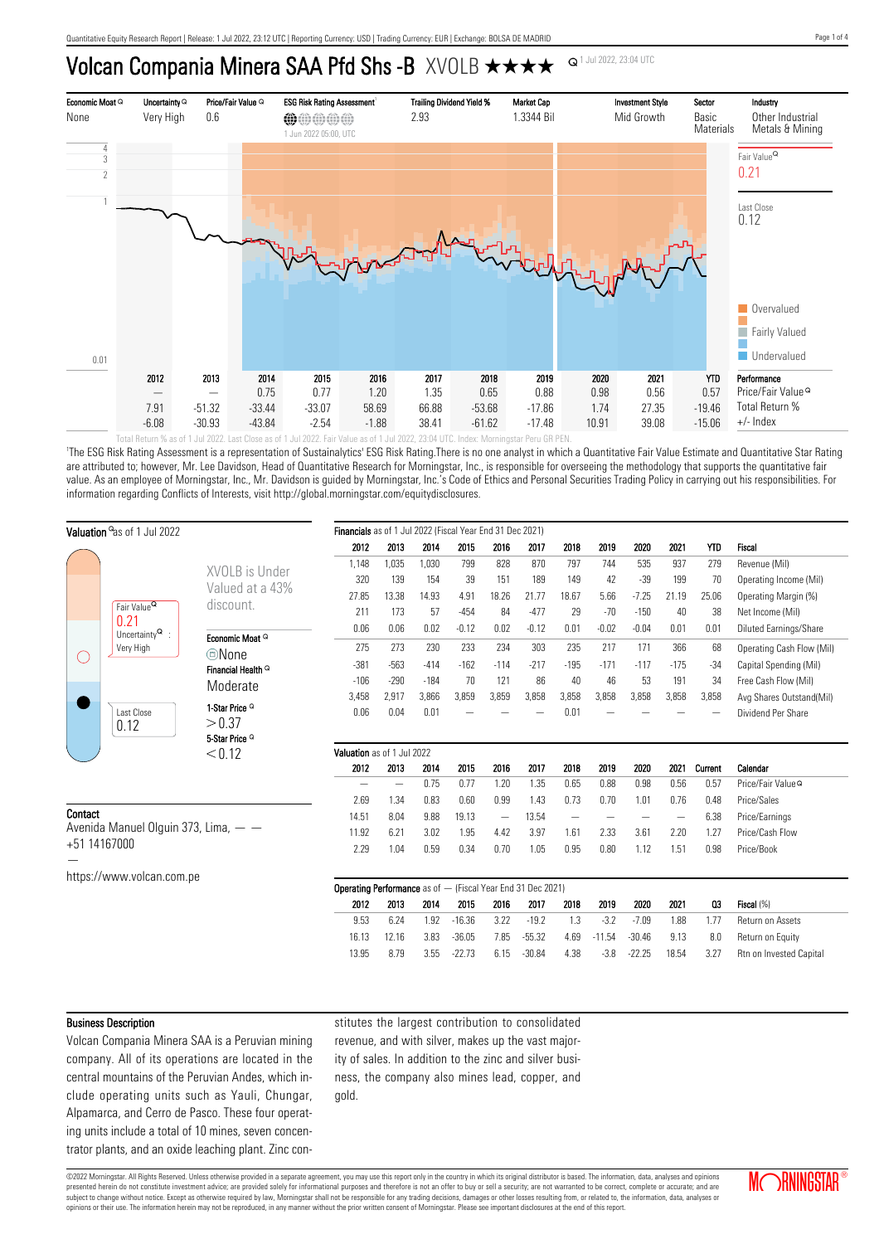## Volcan Compania Minera SAA Pfd Shs -B XVOLB  $\star \star \star \star$



'The ESG Risk Rating Assessment is a representation of Sustainalytics' ESG Risk Rating.There is no one analyst in which a Quantitative Fair Value Estimate and Quantitative Star Rating are attributed to; however, Mr. Lee Davidson, Head of Quantitative Research for Morningstar, Inc., is responsible for overseeing the methodology that supports the quantitative fair value. As an employee of Morningstar, Inc., Mr. Davidson is guided by Morningstar, Inc.'s Code of Ethics and Personal Securities Trading Policy in carrying out his responsibilities. For information regarding Conflicts of Interests, visit http://global.morningstar.com/equitydisclosures.

| Valuation <sup>a</sup> as of 1 Jul 2022                       |                                                                  |                                                                      | Financials as of 1 Jul 2022 (Fiscal Year End 31 Dec 2021) |        |        |          |                   |          |                   |          |          |        |         |                               |
|---------------------------------------------------------------|------------------------------------------------------------------|----------------------------------------------------------------------|-----------------------------------------------------------|--------|--------|----------|-------------------|----------|-------------------|----------|----------|--------|---------|-------------------------------|
|                                                               |                                                                  |                                                                      | 2012                                                      | 2013   | 2014   | 2015     | 2016              | 2017     | 2018              | 2019     | 2020     | 2021   | YTD     | <b>Fiscal</b>                 |
|                                                               |                                                                  |                                                                      | 1,148                                                     | 1,035  | 1,030  | 799      | 828               | 870      | 797               | 744      | 535      | 937    | 279     | Revenue (Mil)                 |
|                                                               |                                                                  | XVOLB is Under                                                       | 320                                                       | 139    | 154    | 39       | 151               | 189      | 149               | 42       | $-39$    | 199    | 70      | Operating Income (Mil)        |
|                                                               |                                                                  | Valued at a 43%<br>discount.                                         | 27.85                                                     | 13.38  | 14.93  | 4.91     | 18.26             | 21.77    | 18.67             | 5.66     | $-7.25$  | 21.19  | 25.06   | Operating Margin (%)          |
|                                                               | Fair Value <sup>Q</sup>                                          |                                                                      | 211                                                       | 173    | 57     | $-454$   | 84                | $-477$   | 29                | $-70$    | $-150$   | 40     | 38      | Net Income (Mil)              |
|                                                               | 0.21<br>Uncertainty $^{\mathsf{Q}}$ :<br>Very High<br>Last Close |                                                                      | 0.06                                                      | 0.06   | 0.02   | $-0.12$  | 0.02              | $-0.12$  | 0.01              | $-0.02$  | $-0.04$  | 0.01   | 0.01    | <b>Diluted Earnings/Share</b> |
| C .                                                           |                                                                  | Economic Moat Q                                                      | 275                                                       | 273    | 230    | 233      | 234               | 303      | 235               | 217      | 171      | 366    | 68      | Operating Cash Flow (Mil)     |
|                                                               |                                                                  | <b>©None</b>                                                         | $-381$                                                    | $-563$ | $-414$ | $-162$   | $-114$            | $-217$   | $-195$            | $-171$   | $-117$   | $-175$ | $-34$   | Capital Spending (Mil)        |
|                                                               |                                                                  | Financial Health <sup>Q</sup>                                        | $-106$                                                    | $-290$ | $-184$ | 70       | 121               | 86       | 40                | 46       | 53       | 191    | 34      | Free Cash Flow (Mil)          |
|                                                               |                                                                  | Moderate                                                             | 3,458                                                     | 2,917  | 3,866  | 3,859    | 3,859             | 3,858    | 3,858             | 3,858    | 3,858    | 3,858  | 3,858   |                               |
|                                                               |                                                                  | 1-Star Price <sup>Q</sup>                                            |                                                           |        |        |          |                   |          |                   |          |          |        |         | Avg Shares Outstand(Mil)      |
|                                                               | 0.12                                                             | > 0.37                                                               | 0.06                                                      | 0.04   | 0.01   |          |                   |          | 0.01              |          |          |        |         | Dividend Per Share            |
|                                                               |                                                                  | 5-Star Price <sup>Q</sup>                                            |                                                           |        |        |          |                   |          |                   |          |          |        |         |                               |
|                                                               |                                                                  | < 0.12                                                               | Valuation as of 1 Jul 2022                                |        |        |          |                   |          |                   |          |          |        |         |                               |
|                                                               |                                                                  |                                                                      | 2012                                                      | 2013   | 2014   | 2015     | 2016              | 2017     | 2018              | 2019     | 2020     | 2021   | Current | Calendar                      |
|                                                               |                                                                  |                                                                      |                                                           | -      | 0.75   | 0.77     | 1.20              | 1.35     | 0.65              | 0.88     | 0.98     | 0.56   | 0.57    | Price/Fair Value <sup>Q</sup> |
|                                                               |                                                                  |                                                                      | 2.69                                                      | 1.34   | 0.83   | 0.60     | 0.99              | 1.43     | 0.73              | 0.70     | 1.01     | 0.76   | 0.48    | Price/Sales                   |
| Contact<br>Avenida Manuel Olguin 373, Lima, -<br>+51 14167000 |                                                                  |                                                                      | 14.51                                                     | 8.04   | 9.88   | 19.13    | $\qquad \qquad -$ | 13.54    | $\qquad \qquad -$ |          |          |        | 6.38    | Price/Earnings                |
|                                                               |                                                                  |                                                                      | 11.92                                                     | 6.21   | 3.02   | 1.95     | 4.42              | 3.97     | 1.61              | 2.33     | 3.61     | 2.20   | 1.27    | Price/Cash Flow               |
|                                                               |                                                                  |                                                                      | 2.29                                                      | 1.04   | 0.59   | 0.34     | 0.70              | 1.05     | 0.95              | 0.80     | 1.12     | 1.51   | 0.98    | Price/Book                    |
|                                                               |                                                                  |                                                                      |                                                           |        |        |          |                   |          |                   |          |          |        |         |                               |
|                                                               | https://www.volcan.com.pe                                        |                                                                      |                                                           |        |        |          |                   |          |                   |          |          |        |         |                               |
|                                                               |                                                                  | <b>Operating Performance</b> as of $-$ (Fiscal Year End 31 Dec 2021) |                                                           |        |        |          |                   |          |                   |          |          |        |         |                               |
|                                                               |                                                                  |                                                                      | 2012                                                      | 2013   | 2014   | 2015     | 2016              | 2017     | 2018              | 2019     | 2020     | 2021   | Q3      | Fiscal (%)                    |
|                                                               |                                                                  |                                                                      | 9.53                                                      | 6.24   | 1.92   | $-16.36$ | 3.22              | $-19.2$  | 1.3               | $-3.2$   | $-7.09$  | 1.88   | 1.77    | Return on Assets              |
|                                                               |                                                                  |                                                                      | 16.13                                                     | 12.16  | 3.83   | $-36.05$ | 7.85              | $-55.32$ | 4.69              | $-11.54$ | $-30.46$ | 9.13   | 8.0     | Return on Equity              |
|                                                               |                                                                  |                                                                      | 13.95                                                     | 8.79   | 3.55   | $-22.73$ | 6.15              | $-30.84$ | 4.38              | $-3.8$   | $-22.25$ | 18.54  | 3.27    | Rtn on Invested Capital       |

#### Business Description

Volcan Compania Minera SAA is a Peruvian mining company. All of its operations are located in the central mountains of the Peruvian Andes, which include operating units such as Yauli, Chungar, Alpamarca, and Cerro de Pasco. These four operating units include a total of 10 mines, seven concentrator plants, and an oxide leaching plant. Zinc con-

stitutes the largest contribution to consolidated revenue, and with silver, makes up the vast majority of sales. In addition to the zinc and silver business, the company also mines lead, copper, and gold.

©2022 Morningstar. All Rights Reserved. Unless otherwise provided in a separate agreement, you may use this report only in the country in which its original distributor is based. The information, data, analyses and opinions presented herein do not constitute investment advice; are provided solely for informational purposes and therefore is not an offer to buy or sell a security; are not warranted to be correct, complete or accurate; and are subject to change without notice. Except as otherwise required by law, Morningstar shall not be responsible for any trading decisions, damages or other losses resulting from, or related to, the information, data, analyses opinions or their use. The information herein may not be reproduced, in any manner without the prior written consent of Morningstar. Please see important disclosures at the end of this report.

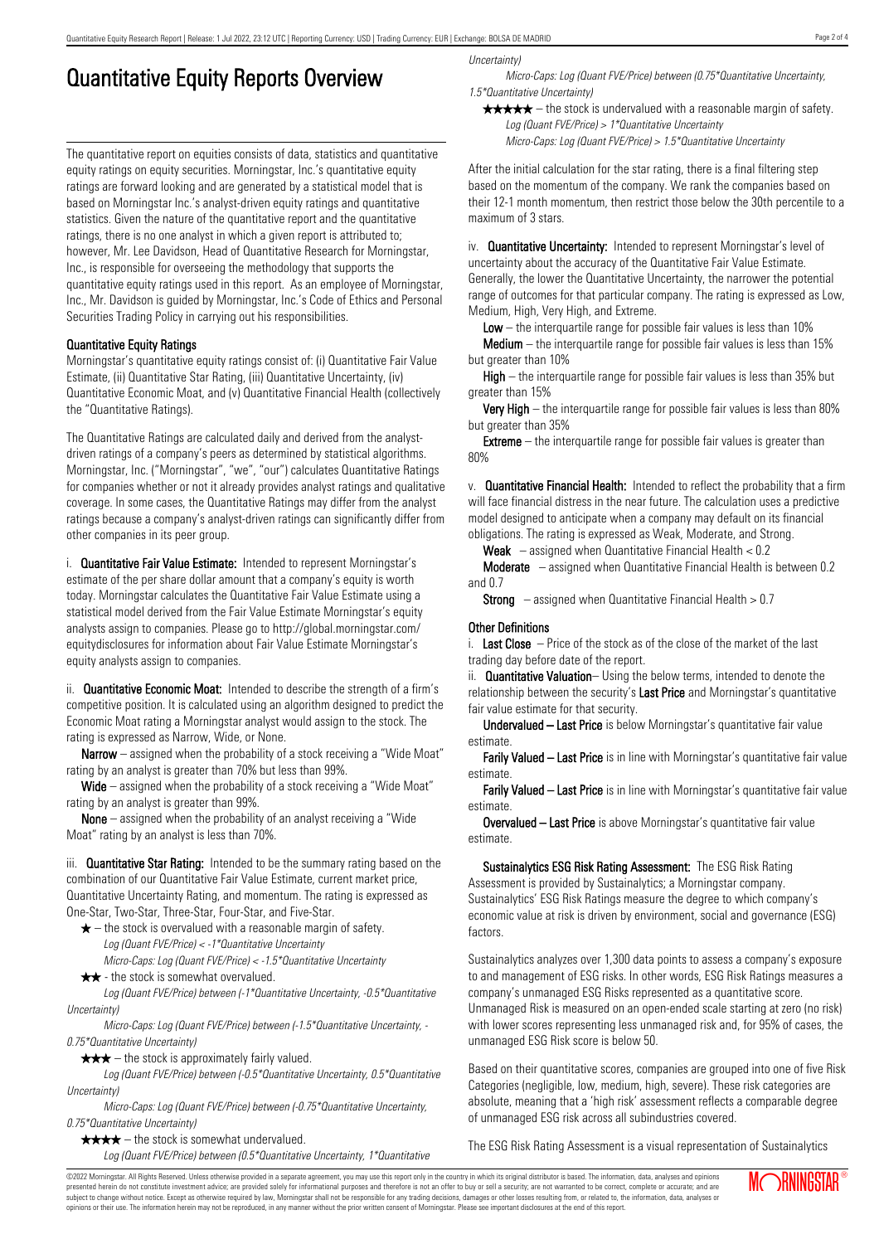# Quantitative Equity Reports Overview

The quantitative report on equities consists of data, statistics and quantitative equity ratings on equity securities. Morningstar, Inc.'s quantitative equity ratings are forward looking and are generated by a statistical model that is based on Morningstar Inc.'s analyst-driven equity ratings and quantitative statistics. Given the nature of the quantitative report and the quantitative ratings, there is no one analyst in which a given report is attributed to; however, Mr. Lee Davidson, Head of Quantitative Research for Morningstar, Inc., is responsible for overseeing the methodology that supports the quantitative equity ratings used in this report. As an employee of Morningstar, Inc., Mr. Davidson is guided by Morningstar, Inc.'s Code of Ethics and Personal Securities Trading Policy in carrying out his responsibilities.

### Quantitative Equity Ratings

Morningstar's quantitative equity ratings consist of: (i) Quantitative Fair Value Estimate, (ii) Quantitative Star Rating, (iii) Quantitative Uncertainty, (iv) Quantitative Economic Moat, and (v) Quantitative Financial Health (collectively the "Quantitative Ratings).

The Quantitative Ratings are calculated daily and derived from the analystdriven ratings of a company's peers as determined by statistical algorithms. Morningstar, Inc. ("Morningstar", "we", "our") calculates Quantitative Ratings for companies whether or not it already provides analyst ratings and qualitative coverage. In some cases, the Quantitative Ratings may differ from the analyst ratings because a company's analyst-driven ratings can significantly differ from other companies in its peer group.

i. **Quantitative Fair Value Estimate:** Intended to represent Morningstar's estimate of the per share dollar amount that a company's equity is worth today. Morningstar calculates the Quantitative Fair Value Estimate using a statistical model derived from the Fair Value Estimate Morningstar's equity analysts assign to companies. Please go to http://global.morningstar.com/ equitydisclosures for information about Fair Value Estimate Morningstar's equity analysts assign to companies.

ii. **Quantitative Economic Moat:** Intended to describe the strength of a firm's competitive position. It is calculated using an algorithm designed to predict the Economic Moat rating a Morningstar analyst would assign to the stock. The rating is expressed as Narrow, Wide, or None.

**Narrow** – assigned when the probability of a stock receiving a "Wide Moat" rating by an analyst is greater than 70% but less than 99%.

Wide – assigned when the probability of a stock receiving a "Wide Moat" rating by an analyst is greater than 99%.

None – assigned when the probability of an analyst receiving a "Wide Moat" rating by an analyst is less than 70%.

iii. **Quantitative Star Rating:** Intended to be the summary rating based on the combination of our Quantitative Fair Value Estimate, current market price, Quantitative Uncertainty Rating, and momentum. The rating is expressed as One-Star, Two-Star, Three-Star, Four-Star, and Five-Star.

- $\star$  the stock is overvalued with a reasonable margin of safety. Log (Quant FVE/Price) < -1\*Quantitative Uncertainty
- Micro-Caps: Log (Quant FVE/Price) < -1.5\*Quantitative Uncertainty  $\star \star$  - the stock is somewhat overvalued.

Log (Quant FVE/Price) between (-1\*Quantitative Uncertainty, -0.5\*Quantitative Uncertainty)

Micro-Caps: Log (Quant FVE/Price) between (-1.5\*Quantitative Uncertainty, - 0.75\*Quantitative Uncertainty)

 $\star \star \star$  – the stock is approximately fairly valued.

Log (Quant FVE/Price) between (-0.5\*Quantitative Uncertainty, 0.5\*Quantitative Uncertainty)

Micro-Caps: Log (Quant FVE/Price) between (-0.75\*Quantitative Uncertainty, 0.75\*Quantitative Uncertainty)

 $\star \star \star \star$  – the stock is somewhat undervalued.

Log (Quant FVE/Price) between (0.5\*Quantitative Uncertainty, 1\*Quantitative

Uncertainty)

Micro-Caps: Log (Quant FVE/Price) between (0.75\*Quantitative Uncertainty, 1.5\*Quantitative Uncertainty)

 $\star \star \star \star$  – the stock is undervalued with a reasonable margin of safety. Log (Quant FVE/Price) > 1\*Quantitative Uncertainty

Micro-Caps: Log (Quant FVE/Price) > 1.5\*Quantitative Uncertainty

After the initial calculation for the star rating, there is a final filtering step based on the momentum of the company. We rank the companies based on their 12-1 month momentum, then restrict those below the 30th percentile to a maximum of 3 stars.

iv. **Quantitative Uncertainty:** Intended to represent Morningstar's level of uncertainty about the accuracy of the Quantitative Fair Value Estimate. Generally, the lower the Quantitative Uncertainty, the narrower the potential range of outcomes for that particular company. The rating is expressed as Low, Medium, High, Very High, and Extreme.

**Low** – the interguartile range for possible fair values is less than  $10\%$ 

**Medium** – the interquartile range for possible fair values is less than  $15\%$ but greater than 10%

High – the interquartile range for possible fair values is less than 35% but greater than 15%

Very High – the interquartile range for possible fair values is less than 80% but greater than 35%

**Extreme** – the interquartile range for possible fair values is greater than 80%

v. Quantitative Financial Health: Intended to reflect the probability that a firm will face financial distress in the near future. The calculation uses a predictive model designed to anticipate when a company may default on its financial obligations. The rating is expressed as Weak, Moderate, and Strong.

**Weak**  $-$  assigned when Quantitative Financial Health  $< 0.2$ 

Moderate – assigned when Quantitative Financial Health is between 0.2 and 0.7

**Strong** – assigned when Quantitative Financial Health  $> 0.7$ 

#### Other Definitions

i. Last Close  $-$  Price of the stock as of the close of the market of the last trading day before date of the report.

ii. **Quantitative Valuation**– Using the below terms, intended to denote the relationship between the security's Last Price and Morningstar's quantitative fair value estimate for that security.

Undervalued – Last Price is below Morningstar's quantitative fair value estimate.

Farily Valued – Last Price is in line with Morningstar's quantitative fair value estimate.

Farily Valued – Last Price is in line with Morningstar's quantitative fair value estimate.

Overvalued – Last Price is above Morningstar's quantitative fair value estimate.

Sustainalytics ESG Risk Rating Assessment: The ESG Risk Rating Assessment is provided by Sustainalytics; a Morningstar company. Sustainalytics' ESG Risk Ratings measure the degree to which company's economic value at risk is driven by environment, social and governance (ESG) factors.

Sustainalytics analyzes over 1,300 data points to assess a company's exposure to and management of ESG risks. In other words, ESG Risk Ratings measures a company's unmanaged ESG Risks represented as a quantitative score. Unmanaged Risk is measured on an open-ended scale starting at zero (no risk) with lower scores representing less unmanaged risk and, for 95% of cases, the unmanaged ESG Risk score is below 50.

Based on their quantitative scores, companies are grouped into one of five Risk Categories (negligible, low, medium, high, severe). These risk categories are absolute, meaning that a 'high risk' assessment reflects a comparable degree of unmanaged ESG risk across all subindustries covered.

The ESG Risk Rating Assessment is a visual representation of Sustainalytics

©2022 Morningstar. All Rights Reserved. Unless otherwise provided in a separate agreement, you may use this report only in the country in which its original distributor is based. The information, data, analyses and opinions presented herein do not constitute investment advice; are provided solely for informational purposes and therefore is not an offer to buy or sell a security; are not warranted to be correct, complete or accurate; and are subject to change without notice. Except as otherwise required by law, Morningstar shall not be responsible for any trading decisions, damages or other losses resulting from, or related to, the information, data, analyses or opinions or their use. The information herein may not be reproduced, in any manner without the prior written consent of Morningstar. Please see important disclosures at the end of this report.

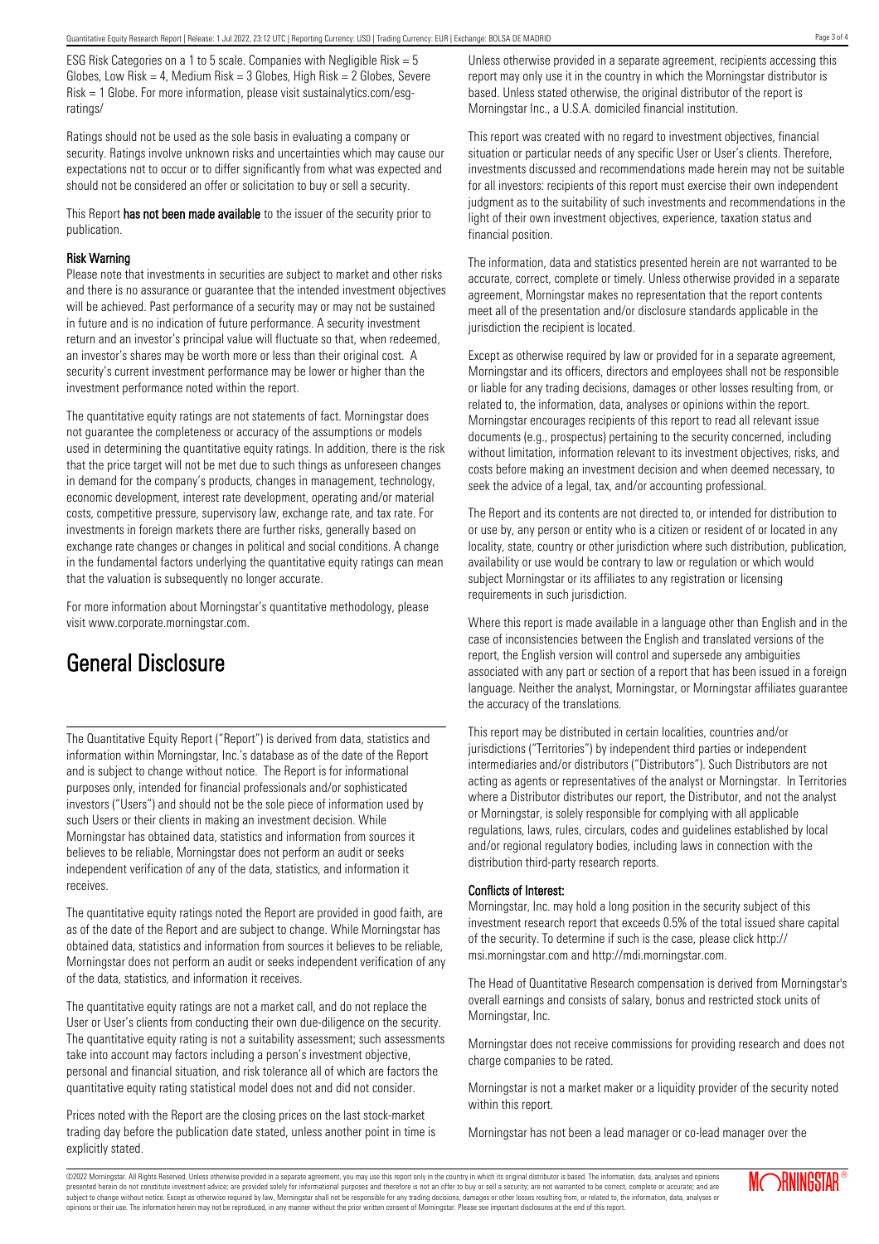ESG Risk Categories on a 1 to 5 scale. Companies with Negligible Risk = 5 Globes, Low Risk = 4, Medium Risk =  $3$  Globes, High Risk =  $2$  Globes, Severe Risk = 1 Globe. For more information, please visit sustainalytics.com/esgratings/

Ratings should not be used as the sole basis in evaluating a company or security. Ratings involve unknown risks and uncertainties which may cause our expectations not to occur or to differ significantly from what was expected and should not be considered an offer or solicitation to buy or sell a security.

This Report has not been made available to the issuer of the security prior to publication.

#### Risk Warning

Please note that investments in securities are subject to market and other risks and there is no assurance or guarantee that the intended investment objectives will be achieved. Past performance of a security may or may not be sustained in future and is no indication of future performance. A security investment return and an investor's principal value will fluctuate so that, when redeemed, an investor's shares may be worth more or less than their original cost. A security's current investment performance may be lower or higher than the investment performance noted within the report.

The quantitative equity ratings are not statements of fact. Morningstar does not guarantee the completeness or accuracy of the assumptions or models used in determining the quantitative equity ratings. In addition, there is the risk that the price target will not be met due to such things as unforeseen changes in demand for the company's products, changes in management, technology, economic development, interest rate development, operating and/or material costs, competitive pressure, supervisory law, exchange rate, and tax rate. For investments in foreign markets there are further risks, generally based on exchange rate changes or changes in political and social conditions. A change in the fundamental factors underlying the quantitative equity ratings can mean that the valuation is subsequently no longer accurate.

For more information about Morningstar's quantitative methodology, please visit www.corporate.morningstar.com.

### General Disclosure

The Quantitative Equity Report ("Report") is derived from data, statistics and information within Morningstar, Inc.'s database as of the date of the Report and is subject to change without notice. The Report is for informational purposes only, intended for financial professionals and/or sophisticated investors ("Users") and should not be the sole piece of information used by such Users or their clients in making an investment decision. While Morningstar has obtained data, statistics and information from sources it believes to be reliable, Morningstar does not perform an audit or seeks independent verification of any of the data, statistics, and information it receives.

The quantitative equity ratings noted the Report are provided in good faith, are as of the date of the Report and are subject to change. While Morningstar has obtained data, statistics and information from sources it believes to be reliable, Morningstar does not perform an audit or seeks independent verification of any of the data, statistics, and information it receives.

The quantitative equity ratings are not a market call, and do not replace the User or User's clients from conducting their own due-diligence on the security. The quantitative equity rating is not a suitability assessment; such assessments take into account may factors including a person's investment objective, personal and financial situation, and risk tolerance all of which are factors the quantitative equity rating statistical model does not and did not consider.

Prices noted with the Report are the closing prices on the last stock-market trading day before the publication date stated, unless another point in time is explicitly stated.

Unless otherwise provided in a separate agreement, recipients accessing this report may only use it in the country in which the Morningstar distributor is based. Unless stated otherwise, the original distributor of the report is Morningstar Inc., a U.S.A. domiciled financial institution.

This report was created with no regard to investment objectives, financial situation or particular needs of any specific User or User's clients. Therefore, investments discussed and recommendations made herein may not be suitable for all investors: recipients of this report must exercise their own independent judgment as to the suitability of such investments and recommendations in the light of their own investment objectives, experience, taxation status and financial position.

The information, data and statistics presented herein are not warranted to be accurate, correct, complete or timely. Unless otherwise provided in a separate agreement, Morningstar makes no representation that the report contents meet all of the presentation and/or disclosure standards applicable in the jurisdiction the recipient is located.

Except as otherwise required by law or provided for in a separate agreement, Morningstar and its officers, directors and employees shall not be responsible or liable for any trading decisions, damages or other losses resulting from, or related to, the information, data, analyses or opinions within the report. Morningstar encourages recipients of this report to read all relevant issue documents (e.g., prospectus) pertaining to the security concerned, including without limitation, information relevant to its investment objectives, risks, and costs before making an investment decision and when deemed necessary, to seek the advice of a legal, tax, and/or accounting professional.

The Report and its contents are not directed to, or intended for distribution to or use by, any person or entity who is a citizen or resident of or located in any locality, state, country or other jurisdiction where such distribution, publication, availability or use would be contrary to law or regulation or which would subject Morningstar or its affiliates to any registration or licensing requirements in such jurisdiction.

Where this report is made available in a language other than English and in the case of inconsistencies between the English and translated versions of the report, the English version will control and supersede any ambiguities associated with any part or section of a report that has been issued in a foreign language. Neither the analyst, Morningstar, or Morningstar affiliates guarantee the accuracy of the translations.

This report may be distributed in certain localities, countries and/or jurisdictions ("Territories") by independent third parties or independent intermediaries and/or distributors ("Distributors"). Such Distributors are not acting as agents or representatives of the analyst or Morningstar. In Territories where a Distributor distributes our report, the Distributor, and not the analyst or Morningstar, is solely responsible for complying with all applicable regulations, laws, rules, circulars, codes and guidelines established by local and/or regional regulatory bodies, including laws in connection with the distribution third-party research reports.

#### Conflicts of Interest:

Morningstar, Inc. may hold a long position in the security subject of this investment research report that exceeds 0.5% of the total issued share capital of the security. To determine if such is the case, please click http:// msi.morningstar.com and http://mdi.morningstar.com.

The Head of Quantitative Research compensation is derived from Morningstar's overall earnings and consists of salary, bonus and restricted stock units of Morningstar, Inc.

Morningstar does not receive commissions for providing research and does not charge companies to be rated.

Morningstar is not a market maker or a liquidity provider of the security noted within this report.

Morningstar has not been a lead manager or co-lead manager over the

©2022 Morningstar. All Rights Reserved. Unless otherwise provided in a separate agreement, you may use this report only in the country in which its original distributor is based. The information, data, analyses and opinions presented herein do not constitute investment advice; are provided solely for informational purposes and therefore is not an offer to buy or sell a security; are not warranted to be correct, complete or accurate; and are subject to change without notice. Except as otherwise required by law, Morningstar shall not be responsible for any trading decisions, damages or other losses resulting from, or related to, the information, data, analyses or opinions or their use. The information herein may not be reproduced, in any manner without the prior written consent of Morningstar. Please see important disclosures at the end of this report.